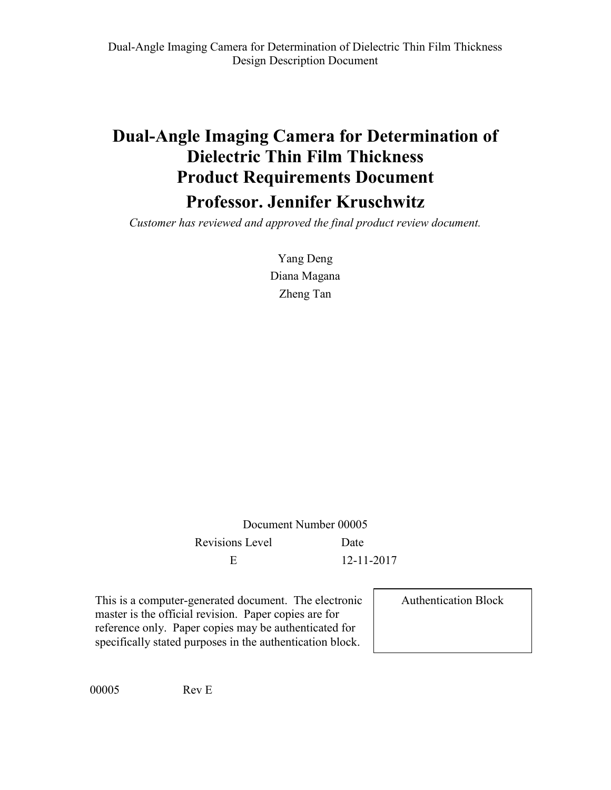# **Dual-Angle Imaging Camera for Determination of Dielectric Thin Film Thickness Product Requirements Document Professor. Jennifer Kruschwitz**

*Customer has reviewed and approved the final product review document.*

Yang Deng Diana Magana Zheng Tan

Document Number 00005 Revisions Level Date E 12-11-2017

This is a computer-generated document. The electronic master is the official revision. Paper copies are for reference only. Paper copies may be authenticated for specifically stated purposes in the authentication block.

Authentication Block

00005 Rev E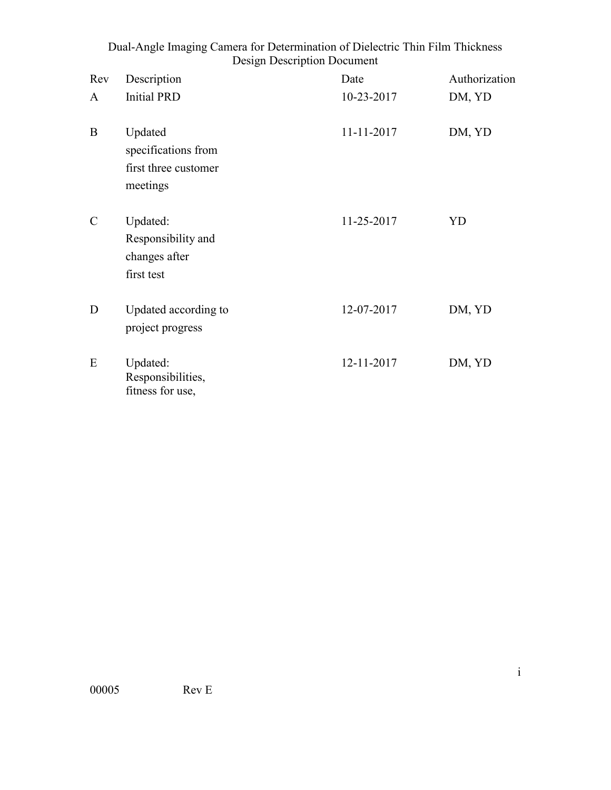| Rev         | Description                                                        | Date       | Authorization |
|-------------|--------------------------------------------------------------------|------------|---------------|
| A           | <b>Initial PRD</b>                                                 | 10-23-2017 | DM, YD        |
| B           | Updated<br>specifications from<br>first three customer<br>meetings | 11-11-2017 | DM, YD        |
| $\mathbf C$ | Updated:<br>Responsibility and<br>changes after<br>first test      | 11-25-2017 | YD            |
| D           | Updated according to<br>project progress                           | 12-07-2017 | DM, YD        |
| E           | Updated:<br>Responsibilities,<br>fitness for use,                  | 12-11-2017 | DM, YD        |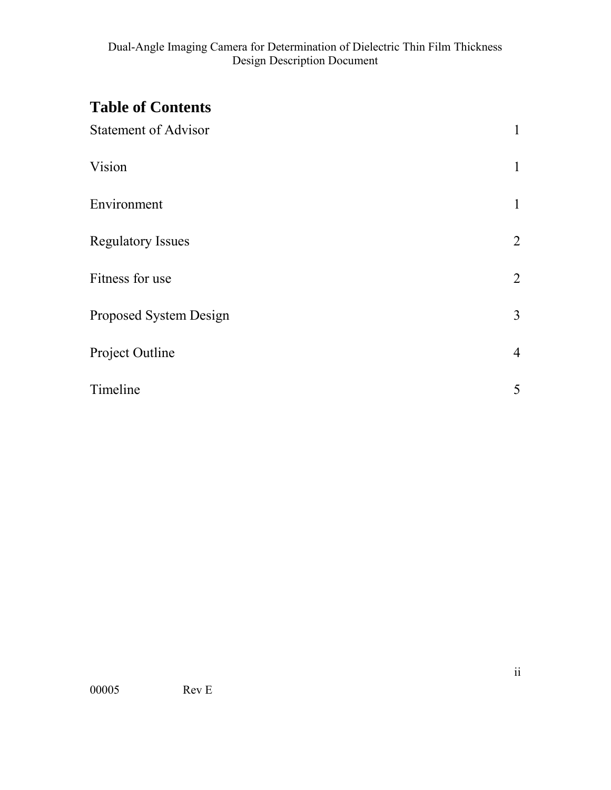## **Table of Contents**

| <b>Statement of Advisor</b> | $\mathbf{1}$   |
|-----------------------------|----------------|
| Vision                      | $\mathbf{1}$   |
| Environment                 | $\mathbf{1}$   |
| <b>Regulatory Issues</b>    | $\overline{2}$ |
| Fitness for use             | $\overline{2}$ |
| Proposed System Design      | $\mathfrak{Z}$ |
| Project Outline             | $\overline{4}$ |
| Timeline                    | 5              |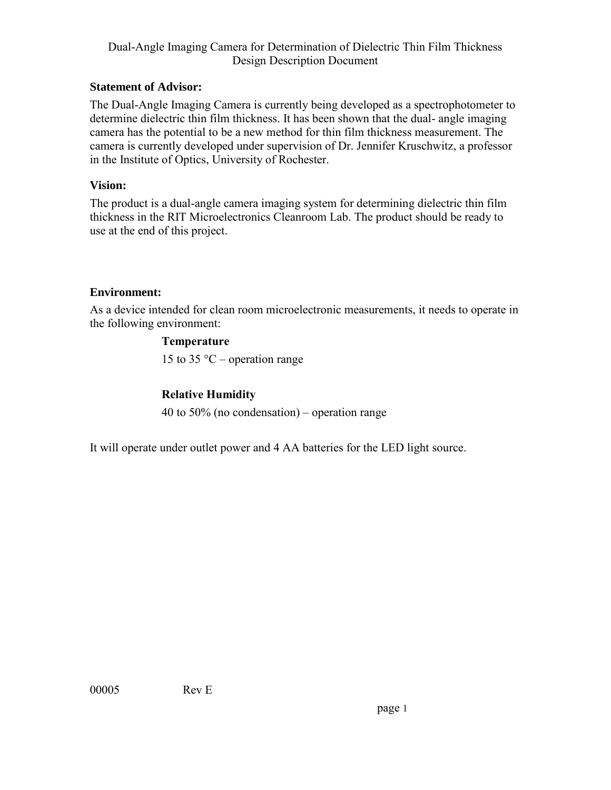#### <span id="page-3-0"></span>**Statement of Advisor:**

The Dual-Angle Imaging Camera is currently being developed as a spectrophotometer to determine dielectric thin film thickness. It has been shown that the dual- angle imaging camera has the potential to be a new method for thin film thickness measurement. The camera is currently developed under supervision of Dr. Jennifer Kruschwitz, a professor in the Institute of Optics, University of Rochester.

#### <span id="page-3-1"></span>**Vision:**

The product is a dual-angle camera imaging system for determining dielectric thin film thickness in the RIT Microelectronics Cleanroom Lab. The product should be ready to use at the end of this project.

### <span id="page-3-2"></span>**Environment:**

As a device intended for clean room microelectronic measurements, it needs to operate in the following environment:

### **Temperature**

15 to 35  $\degree$ C – operation range

## **Relative Humidity**

40 to 50% (no condensation) – operation range

It will operate under outlet power and 4 AA batteries for the LED light source.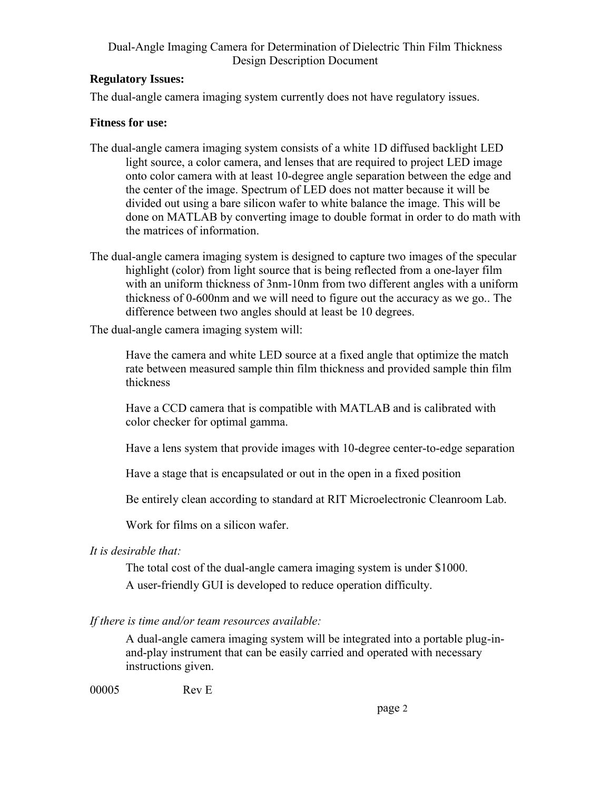#### <span id="page-4-0"></span>**Regulatory Issues:**

The dual-angle camera imaging system currently does not have regulatory issues.

#### **Fitness for use:**

- The dual-angle camera imaging system consists of a white 1D diffused backlight LED light source, a color camera, and lenses that are required to project LED image onto color camera with at least 10-degree angle separation between the edge and the center of the image. Spectrum of LED does not matter because it will be divided out using a bare silicon wafer to white balance the image. This will be done on MATLAB by converting image to double format in order to do math with the matrices of information.
- The dual-angle camera imaging system is designed to capture two images of the specular highlight (color) from light source that is being reflected from a one-layer film with an uniform thickness of 3nm-10nm from two different angles with a uniform thickness of 0-600nm and we will need to figure out the accuracy as we go.. The difference between two angles should at least be 10 degrees.

#### The dual-angle camera imaging system will:

Have the camera and white LED source at a fixed angle that optimize the match rate between measured sample thin film thickness and provided sample thin film thickness

Have a CCD camera that is compatible with MATLAB and is calibrated with color checker for optimal gamma.

Have a lens system that provide images with 10-degree center-to-edge separation

Have a stage that is encapsulated or out in the open in a fixed position

Be entirely clean according to standard at RIT Microelectronic Cleanroom Lab.

Work for films on a silicon wafer.

*It is desirable that:*

The total cost of the dual-angle camera imaging system is under \$1000. A user-friendly GUI is developed to reduce operation difficulty.

*If there is time and/or team resources available:*

A dual-angle camera imaging system will be integrated into a portable plug-inand-play instrument that can be easily carried and operated with necessary instructions given.

00005 Rev E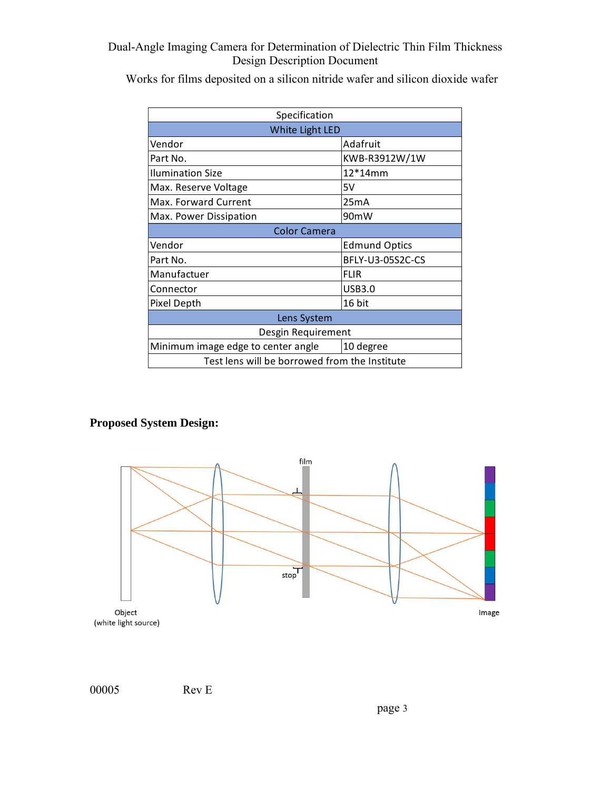Works for films deposited on a silicon nitride wafer and silicon dioxide wafer

| Specification                                 |                      |  |  |
|-----------------------------------------------|----------------------|--|--|
| White Light LED                               |                      |  |  |
| Vendor                                        | Adafruit             |  |  |
| Part No.                                      | KWB-R3912W/1W        |  |  |
| <b>Ilumination Size</b>                       | 12*14mm              |  |  |
| Max. Reserve Voltage                          | 5V                   |  |  |
| Max. Forward Current                          | 25mA                 |  |  |
| Max. Power Dissipation                        | 90mW                 |  |  |
| <b>Color Camera</b>                           |                      |  |  |
| Vendor                                        | <b>Edmund Optics</b> |  |  |
| Part No.                                      | BFLY-U3-05S2C-CS     |  |  |
| Manufactuer                                   | <b>FLIR</b>          |  |  |
| Connector                                     | <b>USB3.0</b>        |  |  |
| Pixel Depth                                   | 16 bit               |  |  |
| Lens System                                   |                      |  |  |
| Desgin Requirement                            |                      |  |  |
| Minimum image edge to center angle            | 10 degree            |  |  |
| Test lens will be borrowed from the Institute |                      |  |  |

### <span id="page-5-0"></span>**Proposed System Design:**



00005 Rev E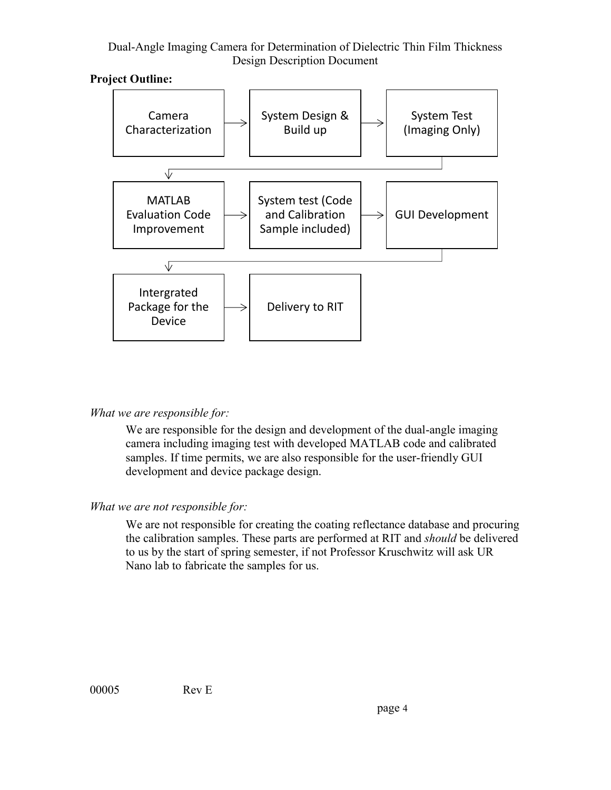<span id="page-6-0"></span>**Project Outline:**



## *What we are responsible for:*

We are responsible for the design and development of the dual-angle imaging camera including imaging test with developed MATLAB code and calibrated samples. If time permits, we are also responsible for the user-friendly GUI development and device package design.

## *What we are not responsible for:*

<span id="page-6-1"></span>We are not responsible for creating the coating reflectance database and procuring the calibration samples. These parts are performed at RIT and *should* be delivered to us by the start of spring semester, if not Professor Kruschwitz will ask UR Nano lab to fabricate the samples for us.